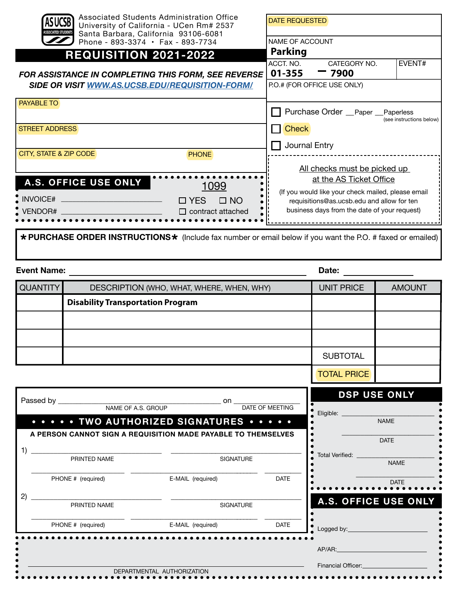| Associated Students Administration Office<br>University of California - UCen Rm# 2537<br><b>ASSOCIATED STUDENTS</b><br>Santa Barbara, California 93106-6081<br>Phone - 893-3374 $\cdot$ Fax - 893-7734 |                                 | <b>DATE REQUESTED</b><br><b>NAME OF ACCOUNT</b>                                                                                                                             |  |  |
|--------------------------------------------------------------------------------------------------------------------------------------------------------------------------------------------------------|---------------------------------|-----------------------------------------------------------------------------------------------------------------------------------------------------------------------------|--|--|
| <b>REQUISITION 2021-2022</b>                                                                                                                                                                           |                                 | <b>Parking</b>                                                                                                                                                              |  |  |
| <b>FOR ASSISTANCE IN COMPLETING THIS FORM, SEE REVERSE</b><br><b>SIDE OR VISIT WWW.AS.UCSB.EDU/REQUISITION-FORM/</b>                                                                                   |                                 | ACCT. NO.<br><b>EVENT#</b><br>CATEGORY NO.<br>01-355<br>$-7900$<br>P.O.# (FOR OFFICE USE ONLY)                                                                              |  |  |
| <b>PAYABLE TO</b><br><b>STREET ADDRESS</b>                                                                                                                                                             |                                 | Purchase Order __Paper __Paperless<br>(see instructions below)<br><b>Check</b>                                                                                              |  |  |
| CITY, STATE & ZIP CODE                                                                                                                                                                                 | <b>PHONE</b>                    | Journal Entry<br>All checks must be picked up                                                                                                                               |  |  |
| A.S. OFFICE USE ONLY<br>INVOICE# ___________________________________                                                                                                                                   | 1099<br>$\Box$ YES<br>$\Box$ NO | at the AS Ticket Office<br>(If you would like your check mailed, please email<br>requisitions@as.ucsb.edu and allow for ten<br>business days from the date of your request) |  |  |
|                                                                                                                                                                                                        |                                 | * PURCHASE ORDER INSTRUCTIONS * (Include fax number or email below if you want the P.O. # faxed or emailed)                                                                 |  |  |

| <b>Event Name:</b> |                                           |                   | Date:         |  |
|--------------------|-------------------------------------------|-------------------|---------------|--|
| <b>QUANTITY</b>    | DESCRIPTION (WHO, WHAT, WHERE, WHEN, WHY) | <b>UNIT PRICE</b> | <b>AMOUNT</b> |  |
|                    | <b>Disability Transportation Program</b>  |                   |               |  |
|                    |                                           |                   |               |  |
|                    |                                           |                   |               |  |
|                    |                                           | <b>SUBTOTAL</b>   |               |  |
|                    |                                           |                   |               |  |

TOTAL PRICE

|                    |                   |                                                  | <b>DSP USE ONLY</b>                                                                               |
|--------------------|-------------------|--------------------------------------------------|---------------------------------------------------------------------------------------------------|
|                    |                   | <b>DATE OF MEETING</b>                           | Eligible:                                                                                         |
|                    |                   |                                                  | <b>NAME</b>                                                                                       |
|                    |                   |                                                  | <b>DATE</b>                                                                                       |
| PRINTED NAME       | <b>SIGNATURE</b>  |                                                  | Total Verified:<br><b>NAME</b>                                                                    |
| PHONE # (required) | E-MAIL (required) | <b>DATE</b>                                      | <b>DATE</b>                                                                                       |
| PRINTED NAME       | <b>SIGNATURE</b>  |                                                  | A.S. OFFICE USE ONLY                                                                              |
| PHONE # (required) | E-MAIL (required) | <b>DATE</b>                                      | Logged by:                                                                                        |
|                    |                   |                                                  | AP/AR: AP/AR:                                                                                     |
|                    |                   |                                                  | <b>Financial Officer:</b>                                                                         |
|                    | Passed by         | NAME OF A.S. GROUP<br>DEPARTMENTAL AUTHORIZATION | on.<br>TWO AUTHORIZED SIGNATURES<br>A PERSON CANNOT SIGN A REQUISITION MADE PAYABLE TO THEMSELVES |